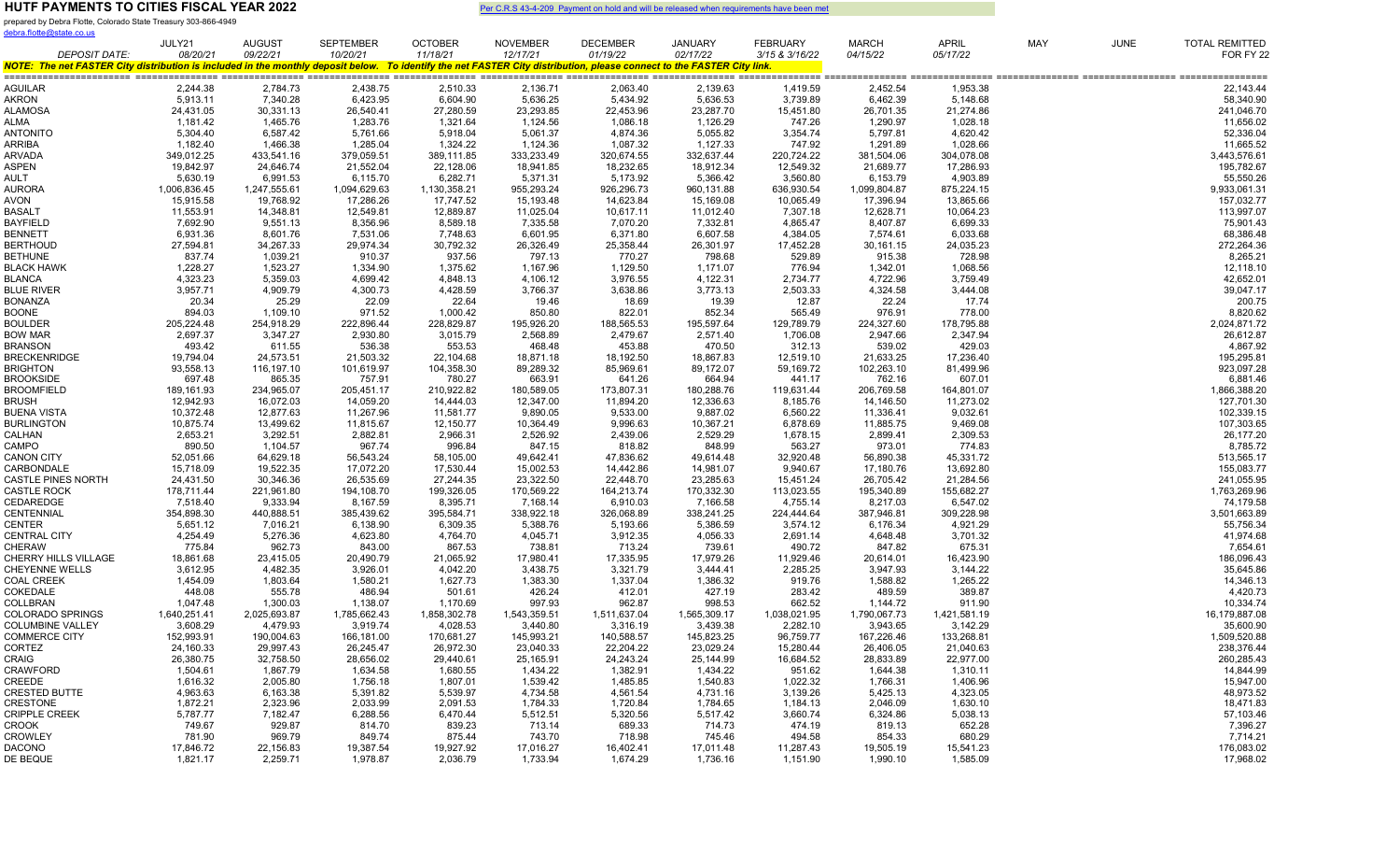prepared by Debra Flotte, Colorado State Treasury 303-866-4949

| <u>debra.flotte@state.co.us</u>                                                                                                                                        |                        |                        |                        |                        |                        |                        |                        |                        |                        |                        |            |             |                           |
|------------------------------------------------------------------------------------------------------------------------------------------------------------------------|------------------------|------------------------|------------------------|------------------------|------------------------|------------------------|------------------------|------------------------|------------------------|------------------------|------------|-------------|---------------------------|
|                                                                                                                                                                        | JULY21                 | <b>AUGUST</b>          | <b>SEPTEMBER</b>       | <b>OCTOBER</b>         | <b>NOVEMBER</b>        | <b>DECEMBER</b>        | <b>JANUARY</b>         | <b>FEBRUARY</b>        | <b>MARCH</b>           | <b>APRIL</b>           | <b>MAY</b> | <b>JUNE</b> | <b>TOTAL REMITTED</b>     |
| <b>DEPOSIT DATE:</b>                                                                                                                                                   | 08/20/21               | 09/22/21               | 10/20/21               | 11/18/21               | 12/17/21               | 01/19/22               | 02/17/22               | 3/15 & 3/16/22         | 04/15/22               | 05/17/22               |            |             | FOR FY 22                 |
| NOTE: The net FASTER City distribution is included in the monthly deposit below. To identify the net FASTER City distribution, please connect to the FASTER City link. |                        |                        |                        |                        |                        |                        |                        |                        |                        |                        |            |             |                           |
| AGUILAR                                                                                                                                                                | 2,244.38               | 2,784.73               | 2,438.75               | 2,510.33               | 2,136.71               | 2,063.40               | 2,139.63               | 1,419.59               | 2,452.54               | 1,953.38               |            |             | 22,143.44                 |
| AKRON                                                                                                                                                                  | 5,913.11               | 7,340.28               | 6,423.95               | 6,604.90               | 5,636.25               | 5,434.92               | 5,636.53               | 3,739.89               | 6,462.39               | 5,148.68               |            |             | 58,340.90                 |
| ALAMOSA                                                                                                                                                                | 24,431.05              | 30,331.13              | 26,540.41              | 27,280.59              | 23,293.85              | 22,453.96              | 23,287.70              | 15,451.80              | 26,701.35              | 21,274.86              |            |             | 241,046.70                |
| ALMA                                                                                                                                                                   | 1,181.42               | 1,465.76               | 1,283.76               | 1,321.64               | 1,124.56               | 1,086.18               | 1,126.29               | 747.26                 | 1,290.97               | 1,028.18               |            |             | 11,656.02                 |
| ANTONITO                                                                                                                                                               | 5,304.40               | 6,587.42               | 5,761.66               | 5,918.04               | 5,061.37               | 4,874.36               | 5,055.82               | 3,354.74               | 5,797.81               | 4,620.42               |            |             | 52,336.04                 |
| ARRIBA                                                                                                                                                                 | 1,182.40               | 1,466.38               | 1,285.04               | 1,324.22               | 1,124.36               | 1,087.32               | 1,127.33               | 747.92                 | 1,291.89               | 1,028.66               |            |             | 11,665.52                 |
| <b>ARVADA</b>                                                                                                                                                          | 349,012.25             | 433,541.16             | 379,059.51             | 389,111.85             | 333,233.49             | 320,674.55             | 332,637.44             | 220,724.22             | 381,504.06             | 304,078.08             |            |             | 3,443,576.61              |
| ASPEN                                                                                                                                                                  | 19,842.97              | 24,646.74              | 21,552.04              | 22,128.06              | 18,941.85              | 18,232.65              | 18,912.34              | 12,549.32              | 21,689.77              | 17,286.93              |            |             | 195,782.67                |
| AULT                                                                                                                                                                   | 5,630.19               | 6,991.53               | 6,115.70               | 6,282.71               | 5,371.31               | 5,173.92               | 5,366.42               | 3,560.80               | 6,153.79               | 4,903.89               |            |             | 55,550.26                 |
| AURORA                                                                                                                                                                 | 1,006,836.45           | 1,247,555.61           | 1,094,629.63           | 1,130,358.21           | 955,293.24             | 926,296.73             | 960,131.88             | 636,930.54             | 1,099,804.87           | 875,224.15             |            |             | 9,933,061.31              |
| AVON                                                                                                                                                                   | 15,915.58              | 19,768.92              | 17,286.26              | 17,747.52              | 15,193.48              | 14,623.84              | 15,169.08              | 10,065.49              | 17,396.94              | 13,865.66              |            |             | 157,032.77                |
| BASALT                                                                                                                                                                 | 11,553.91              | 14,348.81              | 12,549.81              | 12,889.87              | 11,025.04              | 10,617.11              | 11,012.40              | 7,307.18               | 12,628.71              | 10,064.23              |            |             | 113,997.07                |
| BAYFIELD                                                                                                                                                               | 7,692.90               | 9,551.13               | 8,356.96               | 8,589.18               | 7,335.58               | 7,070.20               | 7,332.81               | 4,865.47               | 8,407.87               | 6,699.33               |            |             | 75,901.43                 |
| BENNETT                                                                                                                                                                | 6,931.36               | 8,601.76               | 7,531.06               | 7,748.63               | 6,601.95               | 6,371.80               | 6,607.58               | 4,384.05               | 7,574.61               | 6,033.68               |            |             | 68,386.48                 |
| <b>BERTHOUD</b>                                                                                                                                                        | 27,594.81              | 34,267.33              | 29,974.34              | 30,792.32              | 26,326.49              | 25,358.44              | 26,301.97              | 17,452.28              | 30,161.15              | 24,035.23              |            |             | 272,264.36                |
| <b>BETHUNE</b>                                                                                                                                                         | 837.74                 | 1,039.21               | 910.37                 | 937.56                 | 797.13                 | 770.27                 | 798.68                 | 529.89                 | 915.38                 | 728.98                 |            |             | 8,265.21                  |
| BLACK HAWK                                                                                                                                                             | 1,228.27               | 1,523.27               | 1,334.90               | 1,375.62               | 1,167.96               | 1,129.50               | 1,171.07               | 776.94                 | 1,342.01               | 1,068.56               |            |             | 12,118.10                 |
| BLANCA                                                                                                                                                                 | 4,323.23               | 5,359.03               | 4,699.42               | 4,848.13               | 4,106.12               | 3,976.55               | 4,122.31               | 2,734.77               | 4,722.96               | 3,759.49               |            |             | 42,652.01                 |
| <b>BLUE RIVER</b>                                                                                                                                                      | 3,957.71               | 4,909.79               | 4,300.73               | 4,428.59               | 3,766.37               | 3,638.86               | 3,773.13               | 2,503.33               | 4,324.58               | 3,444.08               |            |             | 39,047.17                 |
| <b>BONANZA</b>                                                                                                                                                         | 20.34                  | 25.29                  | 22.09                  | 22.64                  | 19.46                  | 18.69                  | 19.39                  | 12.87                  | 22.24                  | 17.74                  |            |             | 200.75                    |
| BOONE                                                                                                                                                                  | 894.03                 | 1,109.10               | 971.52                 | 1,000.42               | 850.80                 | 822.01                 | 852.34                 | 565.49                 | 976.91                 | 778.00                 |            |             | 8,820.62                  |
| BOULDER                                                                                                                                                                | 205,224.48             | 254,918.29             | 222,896.44             | 228,829.87             | 195,926.20             | 188,565.53             | 195,597.64             | 129,789.79             | 224,327.60             | 178,795.88             |            |             | 2,024,871.72              |
| <b>BOW MAR</b>                                                                                                                                                         | 2,697.37               | 3,347.27               | 2,930.80               | 3,015.79               | 2,568.89               | 2,479.67               | 2,571.40               | 1,706.08               | 2,947.66               | 2,347.94               |            |             | 26,612.87                 |
| <b>BRANSON</b>                                                                                                                                                         | 493.42                 | 611.55                 | 536.38                 | 553.53                 | 468.48                 | 453.88                 | 470.50                 | 312.13                 | 539.02                 | 429.03                 |            |             | 4,867.92                  |
| <b>BRECKENRIDGE</b>                                                                                                                                                    | 19,794.04              | 24,573.51              | 21,503.32              | 22,104.68              | 18,871.18              | 18,192.50              | 18,867.83              | 12,519.10              | 21,633.25              | 17,236.40              |            |             | 195,295.81                |
| <b>BRIGHTON</b>                                                                                                                                                        | 93,558.13              | 116,197.10             | 101,619.97             | 104,358.30             | 89,289.32              | 85,969.61              | 89,172.07              | 59,169.72              | 102,263.10             | 81,499.96              |            |             | 923,097.28                |
| <b>BROOKSIDE</b>                                                                                                                                                       | 697.48                 | 865.35                 | 757.91                 | 780.27                 | 663.91                 | 641.26                 | 664.94                 | 441.17                 | 762.16                 | 607.01                 |            |             | 6,881.46                  |
| <b>BROOMFIELD</b>                                                                                                                                                      | 189,161.93             | 234,965.07             | 205,451.17             | 210,922.82             | 180,589.05             | 173,807.31             | 180,288.76             | 119,631.44             | 206,769.58             | 164,801.07             |            |             | 1,866,388.20              |
| BRUSH                                                                                                                                                                  | 12,942.93              | 16,072.03              | 14,059.20              | 14,444.03              | 12,347.00              | 11,894.20              | 12,336.63              | 8,185.76               | 14,146.50              | 11,273.02              |            |             | 127,701.30                |
| <b>BUENA VISTA</b>                                                                                                                                                     | 10,372.48              | 12,877.63              | 11,267.96              | 11,581.77              | 9,890.05               | 9,533.00               | 9,887.02               | 6,560.22               | 11,336.41              | 9,032.61               |            |             | 102,339.15                |
| <b>BURLINGTON</b>                                                                                                                                                      | 10,875.74              | 13,499.62              | 11,815.67              | 12,150.77              | 10,364.49              | 9,996.63               | 10,367.21              | 6,878.69               | 11,885.75              | 9,469.08               |            |             | 107,303.65                |
| CALHAN                                                                                                                                                                 | 2,653.21               | 3,292.51               | 2,882.81               | 2,966.31               | 2,526.92               | 2,439.06               | 2,529.29               | 1,678.15               | 2,899.41               | 2,309.53               |            |             | 26,177.20                 |
| CAMPO                                                                                                                                                                  | 890.50                 | 1,104.57               | 967.74                 | 996.84                 | 847.15                 | 818.82                 | 848.99                 | 563.27                 | 973.01                 | 774.83                 |            |             | 8,785.72                  |
| <b>CANON CITY</b>                                                                                                                                                      | 52,051.66              | 64,629.18              | 56,543.24              | 58,105.00              | 49,642.41              | 47,836.62              | 49,614.48              | 32,920.48              | 56,890.38              | 45,331.72              |            |             | 513,565.17                |
| CARBONDALE                                                                                                                                                             | 15,718.09              | 19,522.35              | 17,072.20              | 17,530.44              | 15,002.53              | 14,442.86              | 14,981.07              | 9,940.67               | 17,180.76              | 13,692.80              |            |             | 155,083.77                |
| <b>CASTLE PINES NORTH</b>                                                                                                                                              | 24,431.50              | 30,346.36              | 26,535.69              | 27,244.35              | 23,322.50              | 22,448.70              | 23,285.63              | 15,451.24              | 26,705.42              | 21,284.56              |            |             | 241,055.95                |
| <b>CASTLE ROCK</b>                                                                                                                                                     | 178,711.44             | 221,961.80             | 194,108.70             | 199,326.05             | 170,569.22             | 164,213.74             | 170,332.30             | 113,023.55             | 195,340.89             | 155,682.27             |            |             | 1,763,269.96              |
| CEDAREDGE<br>CENTENNIAL                                                                                                                                                | 7,518.40<br>354,898.30 | 9,333.94<br>440,888.51 | 8,167.59<br>385,439.62 | 8,395.71<br>395,584.71 | 7,168.14<br>338,922.18 | 6,910.03<br>326,068.89 | 7,166.58<br>338,241.25 | 4,755.14<br>224,444.64 | 8,217.03<br>387,946.81 | 6,547.02<br>309,228.98 |            |             | 74,179.58<br>3,501,663.89 |
| CENTER                                                                                                                                                                 | 5,651.12               | 7,016.21               | 6,138.90               | 6,309.35               | 5,388.76               | 5,193.66               | 5,386.59               | 3,574.12               | 6,176.34               | 4,921.29               |            |             | 55,756.34                 |
| <b>CENTRAL CITY</b>                                                                                                                                                    | 4,254.49               | 5,276.36               | 4,623.80               | 4,764.70               | 4,045.71               | 3,912.35               | 4,056.33               | 2,691.14               | 4,648.48               | 3,701.32               |            |             | 41,974.68                 |
| CHERAW                                                                                                                                                                 | 775.84                 | 962.73                 | 843.00                 | 867.53                 | 738.81                 | 713.24                 | 739.61                 | 490.72                 | 847.82                 | 675.31                 |            |             | 7,654.61                  |
| CHERRY HILLS VILLAGE                                                                                                                                                   | 18,861.68              | 23,415.05              | 20,490.79              | 21,065.92              | 17,980.41              | 17,335.95              | 17,979.26              | 11,929.46              | 20,614.01              | 16,423.90              |            |             | 186,096.43                |
| CHEYENNE WELLS                                                                                                                                                         | 3,612.95               | 4,482.35               | 3,926.01               | 4,042.20               | 3,438.75               | 3,321.79               | 3,444.41               | 2,285.25               | 3,947.93               | 3,144.22               |            |             | 35,645.86                 |
| <b>COAL CREEK</b>                                                                                                                                                      | 1,454.09               | 1,803.64               | 1,580.21               | 1,627.73               | 1,383.30               | 1,337.04               | 1,386.32               | 919.76                 | 1,588.82               | 1,265.22               |            |             | 14,346.13                 |
| COKEDALE                                                                                                                                                               | 448.08                 | 555.78                 | 486.94                 | 501.61                 | 426.24                 | 412.01                 | 427.19                 | 283.42                 | 489.59                 | 389.87                 |            |             | 4,420.73                  |
| COLLBRAN                                                                                                                                                               | 1,047.48               | 1,300.03               | 1,138.07               | 1,170.69               | 997.93                 | 962.87                 | 998.53                 | 662.52                 | 1,144.72               | 911.90                 |            |             | 10,334.74                 |
| COLORADO SPRINGS                                                                                                                                                       | 1,640,251.41           | 2,025,693.87           | 1,785,662.43           | 1,858,302.78           | 1,543,359.51           | 1,511,637.04           | 1,565,309.17           | 1,038,021.95           | 1,790,067.73           | 1,421,581.19           |            |             | 16,179,887.08             |
| COLUMBINE VALLEY                                                                                                                                                       | 3,608.29               | 4,479.93               | 3,919.74               | 4,028.53               | 3,440.80               | 3,316.19               | 3,439.38               | 2,282.10               | 3,943.65               | 3,142.29               |            |             | 35,600.90                 |
| <b>COMMERCE CITY</b>                                                                                                                                                   | 152,993.91             | 190,004.63             | 166,181.00             | 170,681.27             | 145,993.21             | 140,588.57             | 145,823.25             | 96,759.77              | 167,226.46             | 133,268.81             |            |             | 1,509,520.88              |
| CORTEZ                                                                                                                                                                 | 24,160.33              | 29,997.43              | 26,245.47              | 26,972.30              | 23,040.33              | 22,204.22              | 23,029.24              | 15,280.44              | 26,406.05              | 21,040.63              |            |             | 238,376.44                |
| CRAIG                                                                                                                                                                  | 26,380.75              | 32,758.50              | 28,656.02              | 29,440.61              | 25,165.91              | 24,243.24              | 25,144.99              | 16,684.52              | 28,833.89              | 22,977.00              |            |             | 260,285.43                |
| CRAWFORD                                                                                                                                                               | 1,504.61               | 1,867.79               | 1,634.58               | 1,680.55               | 1,434.22               | 1,382.91               | 1,434.22               | 951.62                 | 1,644.38               | 1,310.11               |            |             | 14,844.99                 |
| CREEDE                                                                                                                                                                 | 1,616.32               | 2,005.80               | 1,756.18               | 1,807.01               | 1,539.42               | 1,485.85               | 1,540.83               | 1,022.32               | 1,766.31               | 1,406.96               |            |             | 15,947.00                 |
| <b>CRESTED BUTTE</b>                                                                                                                                                   | 4,963.63               | 6,163.38               | 5,391.82               | 5,539.97               | 4,734.58               | 4,561.54               | 4,731.16               | 3,139.26               | 5,425.13               | 4,323.05               |            |             | 48,973.52                 |
| CRESTONE                                                                                                                                                               | 1,872.21               | 2,323.96               | 2,033.99               | 2,091.53               | 1,784.33               | 1,720.84               | 1,784.65               | 1,184.13               | 2,046.09               | 1,630.10               |            |             | 18,471.83                 |
| <b>CRIPPLE CREEK</b>                                                                                                                                                   | 5,787.77               | 7,182.47               | 6,288.56               | 6,470.44               | 5,512.51               | 5,320.56               | 5,517.42               | 3,660.74               | 6,324.86               | 5,038.13               |            |             | 57,103.46                 |
| CROOK                                                                                                                                                                  | 749.67                 | 929.87                 | 814.70                 | 839.23                 | 713.14                 | 689.33                 | 714.73                 | 474.19                 | 819.13                 | 652.28                 |            |             | 7,396.27                  |
| <b>CROWLEY</b>                                                                                                                                                         | 781.90                 | 969.79                 | 849.74                 | 875.44                 | 743.70                 | 718.98                 | 745.46                 | 494.58                 | 854.33                 | 680.29                 |            |             | 7,714.21                  |
| DACONO                                                                                                                                                                 | 17,846.72              | 22,156.83              | 19,387.54              | 19,927.92              | 17,016.27              | 16,402.41              | 17,011.48              | 11,287.43              | 19,505.19              | 15,541.23              |            |             | 176,083.02                |
| DE BEQUE                                                                                                                                                               | 1,821.17               | 2,259.71               | 1,978.87               | 2,036.79               | 1,733.94               | 1,674.29               | 1,736.16               | 1,151.90               | 1,990.10               | 1,585.09               |            |             | 17,968.02                 |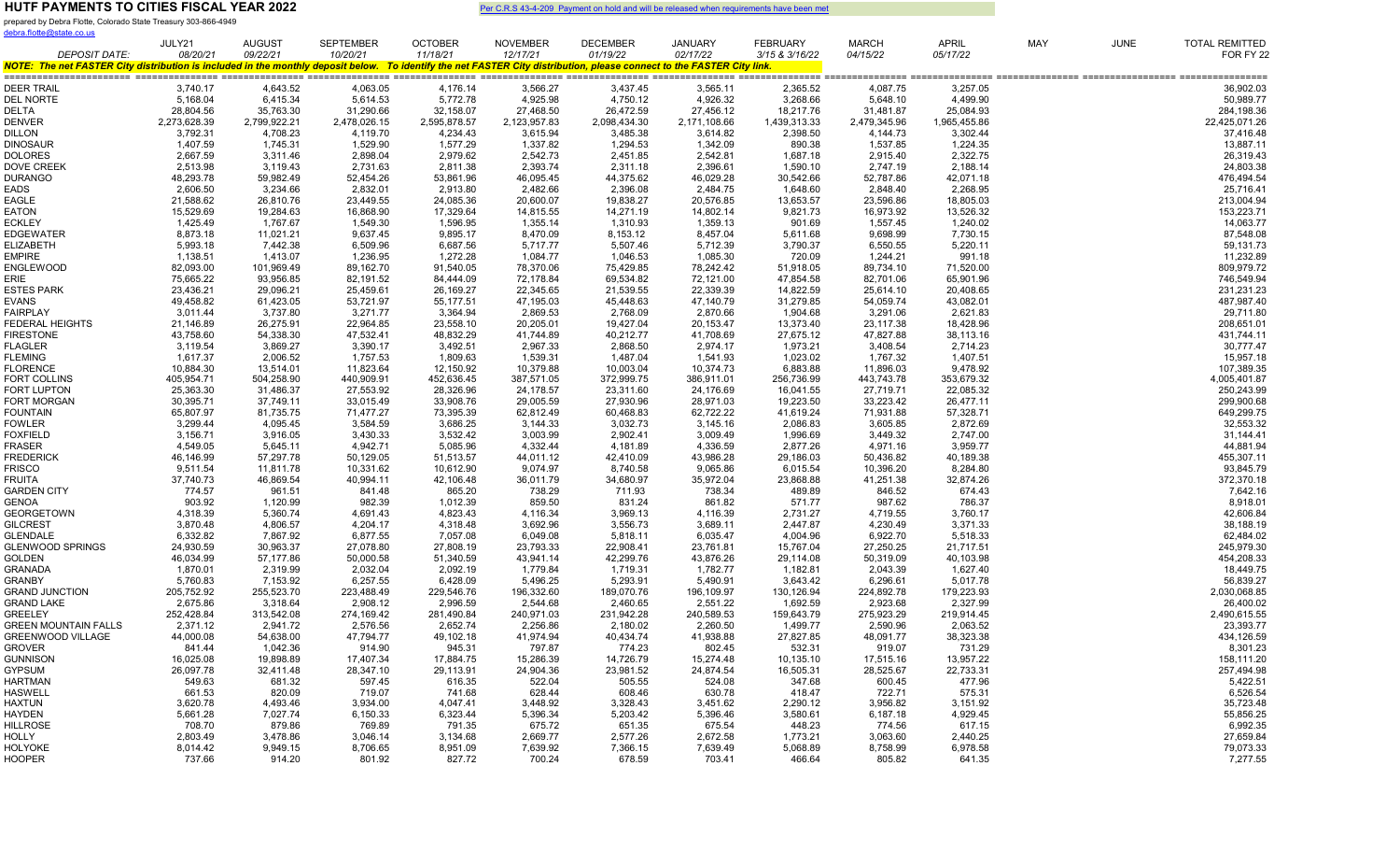prepared by Debra Flotte, Colorado State Treasury 303-866-4949 debra.flotte@state.co.us

|                                                                                                                                                                        | JULY21                | AUGUST                 | <b>SEPTEMBER</b>      | <b>OCTOBER</b>         | <b>NOVEMBER</b>       | DECEMBER               | <b>JANUARY</b>         | <b>FEBRUARY</b>       | <b>MARCH</b>           | APRIL                  | MAY | <b>JUNE</b> | <b>TOTAL REMITTED</b>   |
|------------------------------------------------------------------------------------------------------------------------------------------------------------------------|-----------------------|------------------------|-----------------------|------------------------|-----------------------|------------------------|------------------------|-----------------------|------------------------|------------------------|-----|-------------|-------------------------|
| <b>DEPOSIT DATE:</b>                                                                                                                                                   | 08/20/21              | 09/22/21               | 10/20/21              | 11/18/21               | 12/17/21              | 01/19/22               | 02/17/22               | 3/15 & 3/16/22        | 04/15/22               | 05/17/22               |     |             | FOR FY 22               |
| NOTE: The net FASTER City distribution is included in the monthly deposit below. To identify the net FASTER City distribution, please connect to the FASTER City link. |                       |                        |                       |                        |                       |                        |                        |                       |                        |                        |     |             |                         |
| DEER TRAIL                                                                                                                                                             | 3,740.17              | 4,643.52               | 4,063.05              | 4,176.14               | 3,566.27              | 3,437.45               | 3,565.11               | 2,365.52              | 4,087.75               | 3,257.05               |     |             | 36,902.03               |
| <b>DEL NORTE</b>                                                                                                                                                       | 5,168.04              | 6,415.34               | 5,614.53              | 5,772.78               | 4,925.98              | 4,750.12               | 4,926.32               | 3,268.66              | 5,648.10               | 4,499.90               |     |             | 50,989.77               |
| DELTA                                                                                                                                                                  | 28,804.56             | 35,763.30              | 31,290.66             | 32,158.07              | 27,468.50             | 26,472.59              | 27,456.12              | 18,217.76             | 31,481.87              | 25,084.93              |     |             | 284,198.36              |
| DENVER                                                                                                                                                                 | 2,273,628.39          | 2,799,922.21           | 2,478,026.15          | 2,595,878.57           | 2,123,957.83          | 2,098,434.30           | 2,171,108.66           | 1,439,313.33          | 2,479,345.96           | 1,965,455.86           |     |             | 22,425,071.26           |
| DILLON                                                                                                                                                                 | 3,792.31              | 4,708.23               | 4,119.70              | 4,234.43               | 3,615.94              | 3,485.38               | 3,614.82               | 2,398.50              | 4,144.73               | 3,302.44               |     |             | 37,416.48               |
| DINOSAUR                                                                                                                                                               | 1,407.59              | 1,745.31               | 1,529.90              | 1,577.29               | 1,337.82              | 1,294.53               | 1,342.09               | 890.38                | 1,537.85               | 1,224.35               |     |             | 13,887.11               |
| DOLORES                                                                                                                                                                | 2,667.59              | 3,311.46               | 2,898.04              | 2,979.62               | 2,542.73              | 2,451.85               | 2,542.81               | 1,687.18              | 2,915.40               | 2,322.75               |     |             | 26,319.43               |
| DOVE CREEK                                                                                                                                                             | 2,513.98              | 3,119.43               | 2,731.63              | 2,811.38               | 2,393.74              | 2,311.18               | 2,396.61               | 1,590.10              | 2,747.19               | 2,188.14               |     |             | 24,803.38               |
| DURANGO                                                                                                                                                                | 48,293.78             | 59,982.49              | 52,454.26             | 53,861.96              | 46,095.45             | 44,375.62              | 46,029.28              | 30,542.66             | 52,787.86              | 42,071.18              |     |             | 476,494.54              |
| EADS                                                                                                                                                                   | 2,606.50              | 3,234.66               | 2,832.01              | 2,913.80               | 2,482.66              | 2,396.08               | 2,484.75               | 1,648.60              | 2,848.40               | 2,268.95               |     |             | 25,716.41               |
| EAGLE                                                                                                                                                                  | 21,588.62             | 26,810.76              | 23,449.55             | 24,085.36              | 20,600.07             | 19,838.27              | 20,576.85              | 13,653.57             | 23,596.86              | 18,805.03              |     |             | 213,004.94              |
| EATON                                                                                                                                                                  | 15,529.69             | 19,284.63              | 16,868.90             | 17,329.64              | 14,815.55             | 14,271.19              | 14,802.14              | 9,821.73              | 16,973.92              | 13,526.32              |     |             | 153,223.71              |
| ECKLEY                                                                                                                                                                 | 1,425.49              | 1,767.67               | 1,549.30              | 1,596.95               | 1,355.14              | 1,310.93               | 1,359.13               | 901.69                | 1,557.45               | 1,240.02               |     |             | 14,063.77               |
| EDGEWATER                                                                                                                                                              | 8,873.18              | 11,021.21              | 9,637.45              | 9,895.17               | 8,470.09              | 8,153.12               | 8,457.04               | 5,611.68              | 9,698.99               | 7,730.15               |     |             | 87,548.08               |
| ELIZABETH                                                                                                                                                              | 5,993.18              | 7,442.38               | 6,509.96              | 6,687.56               | 5,717.77              | 5,507.46               | 5,712.39               | 3,790.37              | 6,550.55               | 5,220.11               |     |             | 59,131.73               |
| <b>EMPIRE</b>                                                                                                                                                          | 1,138.51              | 1,413.07               | 1,236.95              | 1,272.28               | 1,084.77              | 1,046.53               | 1,085.30               | 720.09                | 1,244.21               | 991.18                 |     |             | 11,232.89               |
| ENGLEWOOD                                                                                                                                                              | 82,093.00             | 101,969.49             | 89,162.70             | 91,540.05              | 78,370.06             | 75,429.85              | 78,242.42              | 51,918.05             | 89,734.10              | 71,520.00              |     |             | 809,979.72              |
| ERIE                                                                                                                                                                   | 75,665.22             | 93,956.85              | 82,191.52             | 84,444.09              | 72,178.84             | 69,534.82              | 72,121.00              | 47,854.58             | 82,701.06              | 65,901.96              |     |             | 746,549.94              |
| <b>ESTES PARK</b>                                                                                                                                                      | 23,436.21             | 29,096.21              | 25,459.61             | 26,169.27              | 22,345.65             | 21,539.55              | 22,339.39              | 14,822.59             | 25,614.10              | 20,408.65              |     |             | 231,231.23              |
| EVANS                                                                                                                                                                  | 49,458.82             | 61,423.05              | 53,721.97             | 55,177.51              | 47,195.03             | 45,448.63              | 47,140.79              | 31,279.85             | 54,059.74              | 43,082.01              |     |             | 487,987.40              |
| <b>FAIRPLAY</b><br>FEDERAL HEIGHTS                                                                                                                                     | 3,011.44<br>21,146.89 | 3,737.80               | 3,271.77<br>22,964.85 | 3,364.94               | 2,869.53<br>20,205.01 | 2,768.09               | 2,870.66               | 1,904.68<br>13,373.40 | 3,291.06               | 2,621.83               |     |             | 29,711.80<br>208,651.01 |
| <b>FIRESTONE</b>                                                                                                                                                       | 43,758.60             | 26,275.91<br>54,338.30 | 47,532.41             | 23,558.10<br>48,832.29 | 41,744.89             | 19,427.04<br>40,212.77 | 20,153.47<br>41,708.69 | 27,675.12             | 23,117.38<br>47,827.88 | 18,428.96<br>38,113.16 |     |             | 431,744.11              |
| <b>FLAGLER</b>                                                                                                                                                         | 3,119.54              | 3,869.27               | 3,390.17              | 3,492.51               | 2,967.33              | 2,868.50               | 2,974.17               | 1,973.21              | 3,408.54               | 2,714.23               |     |             | 30,777.47               |
| <b>FLEMING</b>                                                                                                                                                         | 1,617.37              | 2,006.52               | 1,757.53              | 1,809.63               | 1,539.31              | 1,487.04               | 1,541.93               | 1,023.02              | 1,767.32               | 1,407.51               |     |             | 15,957.18               |
| <b>FLORENCE</b>                                                                                                                                                        | 10.884.30             | 13.514.01              | 11,823.64             | 12,150.92              | 10,379.88             | 10.003.04              | 10.374.73              | 6.883.88              | 11.896.03              | 9,478.92               |     |             | 107,389.35              |
| <b>FORT COLLINS</b>                                                                                                                                                    | 405,954.71            | 504,258.90             | 440,909.91            | 452,636.45             | 387,571.05            | 372,999.75             | 386,911.01             | 256.736.99            | 443,743.78             | 353,679.32             |     |             | 4,005,401.87            |
| <b>FORT LUPTON</b>                                                                                                                                                     | 25,363.30             | 31,486.37              | 27,553.92             | 28,326.96              | 24,178.57             | 23,311.60              | 24,176.69              | 16,041.55             | 27,719.71              | 22,085.32              |     |             | 250,243.99              |
| <b>FORT MORGAN</b>                                                                                                                                                     | 30.395.71             | 37.749.11              | 33.015.49             | 33.908.76              | 29.005.59             | 27.930.96              | 28.971.03              | 19.223.50             | 33.223.42              | 26.477.11              |     |             | 299,900.68              |
| <b>FOUNTAIN</b>                                                                                                                                                        | 65,807.97             | 81,735.75              | 71,477.27             | 73,395.39              | 62,812.49             | 60,468.83              | 62,722.22              | 41,619.24             | 71,931.88              | 57,328.71              |     |             | 649,299.75              |
| FOWLER                                                                                                                                                                 | 3,299.44              | 4,095.45               | 3,584.59              | 3,686.25               | 3,144.33              | 3,032.73               | 3,145.16               | 2,086.83              | 3,605.85               | 2,872.69               |     |             | 32,553.32               |
| <b>FOXFIELD</b>                                                                                                                                                        | 3,156.71              | 3,916.05               | 3,430.33              | 3,532.42               | 3,003.99              | 2,902.41               | 3,009.49               | 1,996.69              | 3,449.32               | 2,747.00               |     |             | 31,144.41               |
| <b>FRASER</b>                                                                                                                                                          | 4,549.05              | 5,645.11               | 4,942.71              | 5,085.96               | 4,332.44              | 4,181.89               | 4,336.59               | 2,877.26              | 4,971.16               | 3,959.77               |     |             | 44,881.94               |
| <b>FREDERICK</b>                                                                                                                                                       | 46.146.99             | 57.297.78              | 50.129.05             | 51.513.57              | 44.011.12             | 42.410.09              | 43.986.28              | 29.186.03             | 50.436.82              | 40.189.38              |     |             | 455,307.11              |
| <b>FRISCO</b>                                                                                                                                                          | 9,511.54              | 11,811.78              | 10,331.62             | 10,612.90              | 9,074.97              | 8,740.58               | 9,065.86               | 6,015.54              | 10,396.20              | 8,284.80               |     |             | 93,845.79               |
| <b>FRUITA</b>                                                                                                                                                          | 37,740.73             | 46,869.54              | 40.994.11             | 42,106.48              | 36,011.79             | 34.680.97              | 35,972.04              | 23,868.88             | 41,251.38              | 32,874.26              |     |             | 372,370.18              |
| <b>GARDEN CITY</b>                                                                                                                                                     | 774.57                | 961.51                 | 841.48                | 865.20                 | 738.29                | 711.93                 | 738.34                 | 489.89                | 846.52                 | 674.43                 |     |             | 7,642.16                |
| <b>GENOA</b>                                                                                                                                                           | 903.92                | 1,120.99               | 982.39                | 1,012.39               | 859.50                | 831.24                 | 861.82                 | 571.77                | 987.62                 | 786.37                 |     |             | 8,918.01                |
| GEORGETOWN                                                                                                                                                             | 4,318.39              | 5,360.74               | 4.691.43              | 4.823.43               | 4.116.34              | 3,969.13               | 4,116.39               | 2,731.27              | 4,719.55               | 3,760.17               |     |             | 42,606.84               |
| GILCREST<br><b>GLENDALE</b>                                                                                                                                            | 3,870.48              | 4,806.57               | 4,204.17              | 4,318.48               | 3,692.96              | 3,556.73               | 3,689.11               | 2,447.87              | 4,230.49               | 3,371.33               |     |             | 38,188.19               |
| GLENWOOD SPRINGS                                                                                                                                                       | 6,332.82<br>24,930.59 | 7,867.92<br>30,963.37  | 6,877.55<br>27,078.80 | 7,057.08<br>27,808.19  | 6,049.08<br>23,793.33 | 5,818.11<br>22,908.41  | 6,035.47<br>23,761.81  | 4,004.96<br>15,767.04 | 6,922.70<br>27,250.25  | 5,518.33<br>21,717.51  |     |             | 62,484.02<br>245,979.30 |
| <b>GOLDEN</b>                                                                                                                                                          | 46,034.99             | 57,177.86              | 50,000.58             | 51,340.59              | 43,941.14             | 42,299.76              | 43,876.26              | 29,114.08             | 50,319.09              | 40,103.98              |     |             | 454,208.33              |
| GRANADA                                                                                                                                                                | 1,870.01              | 2,319.99               | 2,032.04              | 2,092.19               | 1,779.84              | 1,719.31               | 1,782.77               | 1,182.81              | 2,043.39               | 1,627.40               |     |             | 18,449.75               |
| GRANBY                                                                                                                                                                 | 5,760.83              | 7,153.92               | 6,257.55              | 6,428.09               | 5,496.25              | 5,293.91               | 5,490.91               | 3,643.42              | 6,296.61               | 5,017.78               |     |             | 56,839.27               |
| <b>GRAND JUNCTION</b>                                                                                                                                                  | 205,752.92            | 255,523.70             | 223,488.49            | 229,546.76             | 196,332.60            | 189,070.76             | 196,109.97             | 130,126.94            | 224,892.78             | 179,223.93             |     |             | 2,030,068.85            |
| GRAND LAKE                                                                                                                                                             | 2,675.86              | 3,318.64               | 2,908.12              | 2.996.59               | 2.544.68              | 2.460.65               | 2,551.22               | 1,692.59              | 2,923.68               | 2.327.99               |     |             | 26,400.02               |
| GREELEY                                                                                                                                                                | 252,428.84            | 313,542.08             | 274,169.42            | 281,490.84             | 240,971.03            | 231,942.28             | 240,589.53             | 159,643.79            | 275,923.29             | 219,914.45             |     |             | 2,490,615.55            |
| GREEN MOUNTAIN FALLS                                                                                                                                                   | 2,371.12              | 2,941.72               | 2,576.56              | 2,652.74               | 2,256.86              | 2,180.02               | 2,260.50               | 1,499.77              | 2,590.96               | 2,063.52               |     |             | 23,393.77               |
| GREENWOOD VILLAGE                                                                                                                                                      | 44,000.08             | 54,638.00              | 47,794.77             | 49,102.18              | 41,974.94             | 40,434.74              | 41,938.88              | 27,827.85             | 48,091.77              | 38,323.38              |     |             | 434,126.59              |
| GROVER                                                                                                                                                                 | 841.44                | 1,042.36               | 914.90                | 945.31                 | 797.87                | 774.23                 | 802.45                 | 532.31                | 919.07                 | 731.29                 |     |             | 8,301.23                |
| Gunnison                                                                                                                                                               | 16,025.08             | 19,898.89              | 17.407.34             | 17.884.75              | 15,286.39             | 14,726.79              | 15.274.48              | 10,135.10             | 17,515.16              | 13,957.22              |     |             | 158,111.20              |
| GYPSUM                                                                                                                                                                 | 26,097.78             | 32,411.48              | 28,347.10             | 29,113.91              | 24,904.36             | 23,981.52              | 24,874.54              | 16,505.31             | 28,525.67              | 22,733.31              |     |             | 257,494.98              |
| <b>HARTMAN</b>                                                                                                                                                         | 549.63                | 681.32                 | 597.45                | 616.35                 | 522.04                | 505.55                 | 524.08                 | 347.68                | 600.45                 | 477.96                 |     |             | 5,422.51                |
| HASWELL                                                                                                                                                                | 661.53                | 820.09                 | 719.07                | 741.68                 | 628.44                | 608.46                 | 630.78                 | 418.47                | 722.71                 | 575.31                 |     |             | 6,526.54                |
| HAXTUN                                                                                                                                                                 | 3,620.78              | 4,493.46               | 3,934.00              | 4,047.41               | 3,448.92              | 3,328.43               | 3,451.62               | 2,290.12              | 3,956.82               | 3,151.92               |     |             | 35,723.48               |
| HAYDEN                                                                                                                                                                 | 5,661.28              | 7,027.74               | 6,150.33              | 6.323.44               | 5,396.34              | 5,203.42               | 5,396.46               | 3,580.61              | 6,187.18               | 4,929.45               |     |             | 55,856.25               |
| <b>HILLROSE</b>                                                                                                                                                        | 708.70                | 879.86                 | 769.89                | 791.35                 | 675.72                | 651.35                 | 675.54                 | 448.23                | 774.56                 | 617.15                 |     |             | 6,992.35                |
| HOLLY                                                                                                                                                                  | 2,803.49              | 3,478.86               | 3,046.14              | 3,134.68               | 2,669.77              | 2,577.26               | 2,672.58               | 1,773.21              | 3,063.60               | 2,440.25               |     |             | 27,659.84               |
| HOLYOKE                                                                                                                                                                | 8,014.42              | 9,949.15               | 8,706.65              | 8,951.09               | 7,639.92              | 7,366.15               | 7,639.49               | 5,068.89              | 8,758.99               | 6,978.58               |     |             | 79,073.33               |
| <b>HOOPER</b>                                                                                                                                                          | 737.66                | 914.20                 | 801.92                | 827.72                 | 700.24                | 678.59                 | 703.41                 | 466.64                | 805.82                 | 641.35                 |     |             | 7,277.55                |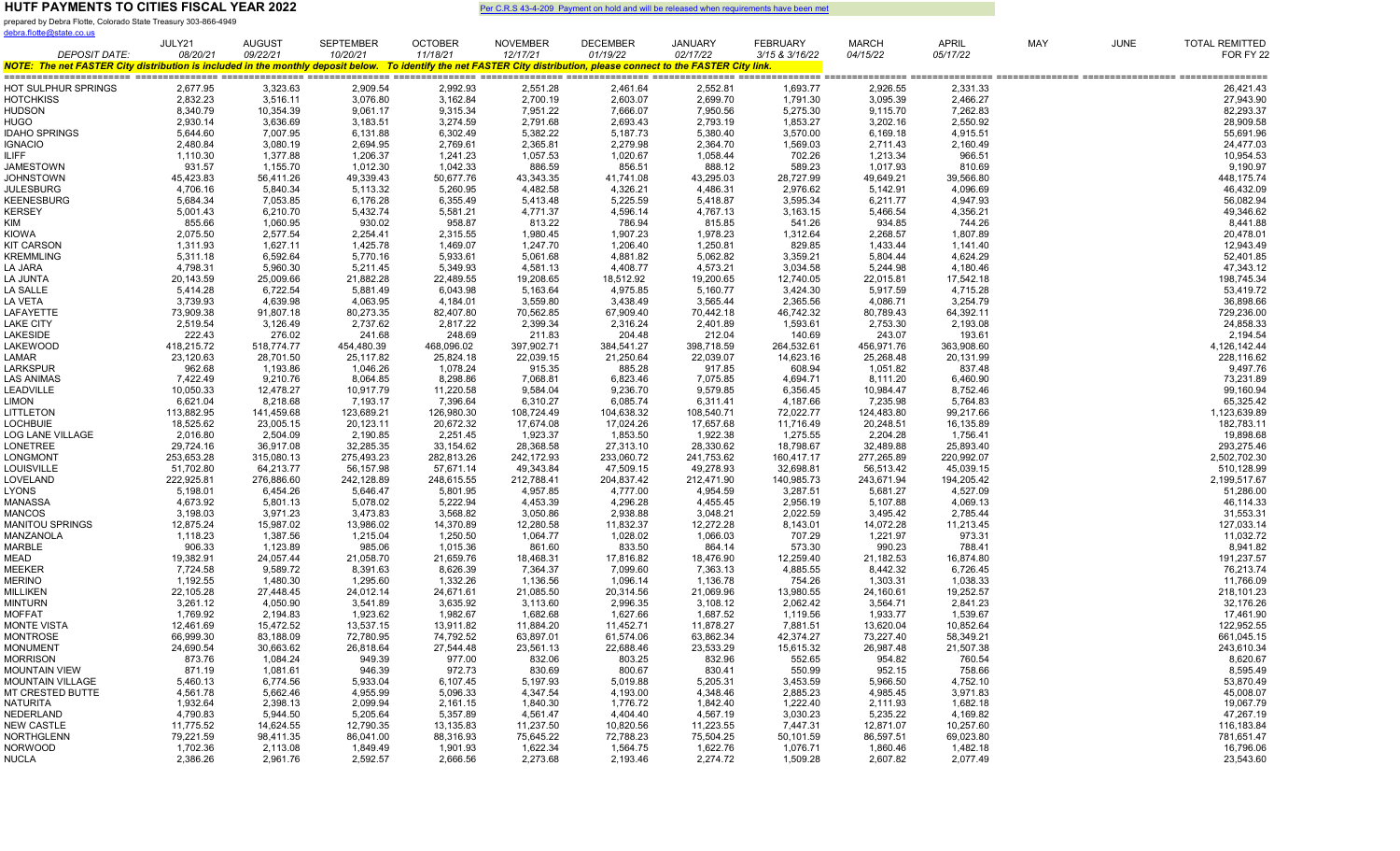prepared by Debra Flotte, Colorado State Treasury 303-866-4949

| debra.flotte@state.co.us                                                                                                                                                                       |            |               |                  |                |                 |                 |                |                 |              |              |            |             |                       |
|------------------------------------------------------------------------------------------------------------------------------------------------------------------------------------------------|------------|---------------|------------------|----------------|-----------------|-----------------|----------------|-----------------|--------------|--------------|------------|-------------|-----------------------|
|                                                                                                                                                                                                | JULY21     | <b>AUGUST</b> | <b>SEPTEMBER</b> | <b>OCTOBER</b> | <b>NOVEMBER</b> | <b>DECEMBER</b> | <b>JANUARY</b> | <b>FEBRUARY</b> | <b>MARCH</b> | <b>APRIL</b> | <b>MAY</b> | <b>JUNE</b> | <b>TOTAL REMITTED</b> |
| <b>DEPOSIT DATE:</b><br>NOTE: The net FASTER City distribution is included in the monthly deposit below. To identify the net FASTER City distribution, please connect to the FASTER City link. | 08/20/21   | 09/22/21      | 10/20/21         | 11/18/21       | 12/17/21        | 01/19/22        | 02/17/22       | 3/15 & 3/16/22  | 04/15/22     | 05/17/22     |            |             | FOR FY 22             |
|                                                                                                                                                                                                |            |               |                  |                |                 |                 |                |                 |              |              |            |             |                       |
| HOT SULPHUR SPRINGS                                                                                                                                                                            | 2,677.95   | 3,323.63      | 2,909.54         | 2,992.93       | 2,551.28        | 2,461.64        | 2,552.81       | 1,693.77        | 2,926.55     | 2,331.33     |            |             | 26,421.43             |
| HOTCHKISS                                                                                                                                                                                      | 2,832.23   | 3,516.11      | 3,076.80         | 3,162.84       | 2,700.19        | 2,603.07        | 2,699.70       | 1,791.30        | 3,095.39     | 2,466.27     |            |             | 27,943.90             |
| HUDSON                                                                                                                                                                                         | 8,340.79   | 10,354.39     | 9,061.17         | 9,315.34       | 7,951.22        | 7,666.07        | 7,950.56       | 5,275.30        | 9,115.70     | 7,262.83     |            |             | 82,293.37             |
| HUGO                                                                                                                                                                                           | 2,930.14   | 3,636.69      | 3,183.51         | 3,274.59       | 2,791.68        | 2,693.43        | 2,793.19       | 1,853.27        | 3,202.16     | 2,550.92     |            |             | 28,909.58             |
| <b>IDAHO SPRINGS</b>                                                                                                                                                                           | 5,644.60   | 7,007.95      | 6,131.88         | 6,302.49       | 5,382.22        | 5,187.73        | 5,380.40       | 3,570.00        | 6,169.18     | 4,915.51     |            |             | 55,691.96             |
| <b>IGNACIO</b>                                                                                                                                                                                 | 2,480.84   | 3,080.19      | 2,694.95         | 2,769.61       | 2,365.81        | 2,279.98        | 2,364.70       | 1,569.03        | 2,711.43     | 2,160.49     |            |             | 24,477.03             |
| <b>ILIFF</b>                                                                                                                                                                                   | 1,110.30   | 1,377.88      | 1,206.37         | 1,241.23       | 1,057.53        | 1,020.67        | 1,058.44       | 702.26          | 1,213.34     | 966.51       |            |             | 10,954.53             |
| <b>JAMESTOWN</b>                                                                                                                                                                               | 931.57     | 1,155.70      | 1,012.30         | 1,042.33       | 886.59          | 856.51          | 888.12         | 589.23          | 1,017.93     | 810.69       |            |             | 9,190.97              |
| JOHNSTOWN                                                                                                                                                                                      | 45,423.83  | 56,411.26     | 49,339.43        | 50,677.76      | 43,343.35       | 41,741.08       | 43,295.03      | 28,727.99       | 49,649.21    | 39,566.80    |            |             | 448,175.74            |
| <b>JULESBURG</b>                                                                                                                                                                               | 4,706.16   | 5,840.34      | 5,113.32         | 5,260.95       | 4,482.58        | 4,326.21        | 4,486.31       | 2,976.62        | 5,142.91     | 4,096.69     |            |             | 46,432.09             |
| KEENESBURG                                                                                                                                                                                     | 5,684.34   | 7,053.85      | 6,176.28         | 6,355.49       | 5,413.48        | 5,225.59        | 5,418.87       | 3,595.34        | 6,211.77     | 4,947.93     |            |             | 56,082.94             |
| KERSEY                                                                                                                                                                                         | 5,001.43   | 6,210.70      | 5,432.74         | 5,581.21       | 4,771.37        | 4,596.14        | 4,767.13       | 3,163.15        | 5,466.54     | 4,356.21     |            |             | 49,346.62             |
| KIM                                                                                                                                                                                            | 855.66     | 1,060.95      | 930.02           | 958.87         | 813.22          | 786.94          | 815.85         | 541.26          | 934.85       | 744.26       |            |             | 8,441.88              |
| Kiowa                                                                                                                                                                                          | 2,075.50   | 2,577.54      | 2,254.41         | 2,315.55       | 1,980.45        | 1,907.23        | 1,978.23       | 1,312.64        | 2,268.57     | 1,807.89     |            |             | 20,478.01             |
| KIT CARSON                                                                                                                                                                                     | 1,311.93   | 1,627.11      | 1,425.78         | 1,469.07       | 1,247.70        | 1,206.40        | 1,250.81       | 829.85          | 1,433.44     | 1,141.40     |            |             | 12,943.49             |
| KREMMLING                                                                                                                                                                                      | 5,311.18   | 6,592.64      | 5,770.16         | 5,933.61       | 5,061.68        | 4,881.82        | 5,062.82       | 3,359.21        | 5,804.44     | 4,624.29     |            |             | 52,401.85             |
| LA JARA                                                                                                                                                                                        | 4,798.31   | 5,960.30      | 5,211.45         | 5,349.93       | 4,581.13        | 4,408.77        | 4,573.21       | 3,034.58        | 5,244.98     | 4,180.46     |            |             | 47,343.12             |
| LA JUNTA                                                                                                                                                                                       | 20,143.59  | 25,009.66     | 21,882.28        | 22,489.55      | 19,208.65       | 18,512.92       | 19,200.65      | 12,740.05       | 22,015.81    | 17,542.18    |            |             | 198,745.34            |
| LA SALLE                                                                                                                                                                                       | 5,414.28   | 6,722.54      | 5,881.49         | 6,043.98       | 5,163.64        | 4,975.85        | 5,160.77       | 3,424.30        | 5,917.59     | 4,715.28     |            |             | 53,419.72             |
| LA VETA                                                                                                                                                                                        | 3,739.93   | 4,639.98      | 4,063.95         | 4,184.01       | 3,559.80        | 3,438.49        | 3,565.44       | 2,365.56        | 4,086.71     | 3,254.79     |            |             | 36,898.66             |
| LAFAYETTE                                                                                                                                                                                      | 73,909.38  | 91,807.18     | 80,273.35        | 82,407.80      | 70,562.85       | 67,909.40       | 70,442.18      | 46,742.32       | 80,789.43    | 64,392.11    |            |             | 729,236.00            |
| LAKE CITY                                                                                                                                                                                      | 2,519.54   | 3,126.49      | 2,737.62         | 2,817.22       | 2,399.34        | 2,316.24        | 2,401.89       | 1,593.61        | 2,753.30     | 2,193.08     |            |             | 24,858.33             |
| LAKESIDE                                                                                                                                                                                       | 222.43     | 276.02        | 241.68           | 248.69         | 211.83          | 204.48          | 212.04         | 140.69          | 243.07       | 193.61       |            |             | 2,194.54              |
| LAKEWOOD                                                                                                                                                                                       | 418,215.72 | 518,774.77    | 454,480.39       | 468,096.02     | 397,902.71      | 384,541.27      | 398,718.59     | 264,532.61      | 456,971.76   | 363,908.60   |            |             | 4,126,142.44          |
| LAMAR                                                                                                                                                                                          | 23,120.63  | 28,701.50     | 25,117.82        | 25,824.18      | 22,039.15       | 21,250.64       | 22,039.07      | 14,623.16       | 25,268.48    | 20,131.99    |            |             | 228,116.62            |
| LARKSPUR                                                                                                                                                                                       | 962.68     | 1,193.86      | 1,046.26         | 1,078.24       | 915.35          | 885.28          | 917.85         | 608.94          | 1,051.82     | 837.48       |            |             | 9,497.76              |
| LAS ANIMAS                                                                                                                                                                                     | 7,422.49   | 9,210.76      | 8,064.85         | 8,298.86       | 7,068.81        | 6,823.46        | 7,075.85       | 4,694.71        | 8,111.20     | 6,460.90     |            |             | 73,231.89             |
| LEADVILLE                                                                                                                                                                                      | 10,050.33  | 12,478.27     | 10,917.79        | 11,220.58      | 9,584.04        | 9,236.70        | 9,579.85       | 6,356.45        | 10,984.47    | 8,752.46     |            |             | 99,160.94             |
| LIMON                                                                                                                                                                                          | 6,621.04   | 8,218.68      | 7,193.17         | 7,396.64       | 6,310.27        | 6,085.74        | 6,311.41       | 4,187.66        | 7,235.98     | 5,764.83     |            |             | 65,325.42             |
| LITTLETON                                                                                                                                                                                      | 113,882.95 | 141,459.68    | 123,689.21       | 126,980.30     | 108,724.49      | 104,638.32      | 108,540.71     | 72,022.77       | 124,483.80   | 99,217.66    |            |             | 1,123,639.89          |
| LOCHBUIE                                                                                                                                                                                       | 18,525.62  | 23,005.15     | 20,123.11        | 20,672.32      | 17,674.08       | 17,024.26       | 17,657.68      | 11,716.49       | 20,248.51    | 16,135.89    |            |             | 182,783.11            |
| LOG LANE VILLAGE                                                                                                                                                                               | 2,016.80   | 2,504.09      | 2,190.85         | 2,251.45       | 1,923.37        | 1,853.50        | 1,922.38       | 1,275.55        | 2,204.28     | 1,756.41     |            |             | 19,898.68             |
| LONETREE                                                                                                                                                                                       | 29,724.16  | 36,917.08     | 32,285.35        | 33,154.62      | 28,368.58       | 27,313.10       | 28,330.62      | 18,798.67       | 32,489.88    | 25,893.40    |            |             | 293,275.46            |
| LONGMONT                                                                                                                                                                                       | 253,653.28 | 315,080.13    | 275,493.23       | 282,813.26     | 242,172.93      | 233,060.72      | 241,753.62     | 160,417.17      | 277,265.89   | 220,992.07   |            |             | 2,502,702.30          |
| LOUISVILLE                                                                                                                                                                                     | 51,702.80  | 64,213.77     | 56,157.98        | 57,671.14      | 49,343.84       | 47,509.15       | 49,278.93      | 32,698.81       | 56,513.42    | 45,039.15    |            |             | 510,128.99            |
| LOVELAND                                                                                                                                                                                       | 222,925.81 | 276,886.60    | 242,128.89       | 248,615.55     | 212,788.41      | 204,837.42      | 212,471.90     | 140,985.73      | 243,671.94   | 194,205.42   |            |             | 2,199,517.67          |
| LYONS                                                                                                                                                                                          | 5,198.01   | 6,454.26      | 5,646.47         | 5,801.95       | 4,957.85        | 4,777.00        | 4,954.59       | 3,287.51        | 5,681.27     | 4,527.09     |            |             | 51,286.00             |
| MANASSA                                                                                                                                                                                        | 4,673.92   | 5,801.13      | 5,078.02         | 5,222.94       | 4,453.39        | 4,296.28        | 4,455.45       | 2,956.19        | 5,107.88     | 4,069.13     |            |             | 46,114.33             |
| MANCOS                                                                                                                                                                                         | 3,198.03   | 3,971.23      | 3,473.83         | 3,568.82       | 3,050.86        | 2,938.88        | 3,048.21       | 2,022.59        | 3,495.42     | 2,785.44     |            |             | 31,553.31             |
| <b>MANITOU SPRINGS</b>                                                                                                                                                                         | 12,875.24  | 15,987.02     | 13,986.02        | 14,370.89      | 12,280.58       | 11,832.37       | 12,272.28      | 8,143.01        | 14,072.28    | 11,213.45    |            |             | 127,033.14            |
| MANZANOLA                                                                                                                                                                                      | 1,118.23   | 1,387.56      | 1,215.04         | 1,250.50       | 1,064.77        | 1,028.02        | 1,066.03       | 707.29          | 1,221.97     | 973.31       |            |             | 11,032.72             |
| MARBLE                                                                                                                                                                                         | 906.33     | 1,123.89      | 985.06           | 1,015.36       | 861.60          | 833.50          | 864.14         | 573.30          | 990.23       | 788.41       |            |             | 8,941.82              |
| MEAD                                                                                                                                                                                           | 19,382.91  | 24,057.44     | 21,058.70        | 21,659.76      | 18,468.31       | 17,816.82       | 18,476.90      | 12,259.40       | 21,182.53    | 16,874.80    |            |             | 191,237.57            |
| VEEKER                                                                                                                                                                                         | 7,724.58   | 9,589.72      | 8,391.63         | 8,626.39       | 7,364.37        | 7,099.60        | 7,363.13       | 4,885.55        | 8,442.32     | 6,726.45     |            |             | 76,213.74             |
| <b>MERINO</b>                                                                                                                                                                                  | 1,192.55   | 1,480.30      | 1,295.60         | 1,332.26       | 1,136.56        | 1,096.14        | 1,136.78       | 754.26          | 1,303.31     | 1,038.33     |            |             | 11,766.09             |
| MILLIKEN                                                                                                                                                                                       | 22,105.28  | 27,448.45     | 24,012.14        | 24,671.61      | 21,085.50       | 20,314.56       | 21,069.96      | 13,980.55       | 24,160.61    | 19,252.57    |            |             | 218,101.23            |
| MINTURN                                                                                                                                                                                        | 3,261.12   | 4,050.90      | 3,541.89         | 3,635.92       | 3,113.60        | 2,996.35        | 3,108.12       | 2,062.42        | 3,564.71     | 2,841.23     |            |             | 32,176.26             |
| <b>MOFFAT</b>                                                                                                                                                                                  | 1,769.92   | 2,194.83      | 1,923.62         | 1,982.67       | 1,682.68        | 1,627.66        | 1,687.52       | 1,119.56        | 1,933.77     | 1,539.67     |            |             | 17,461.90             |
| <b>MONTE VISTA</b>                                                                                                                                                                             | 12,461.69  | 15,472.52     | 13,537.15        | 13,911.82      | 11,884.20       | 11,452.71       | 11,878.27      | 7,881.51        | 13,620.04    | 10,852.64    |            |             | 122,952.55            |
| MONTROSE                                                                                                                                                                                       | 66,999.30  | 83,188.09     | 72,780.95        | 74,792.52      | 63,897.01       | 61,574.06       | 63,862.34      | 42,374.27       | 73,227.40    | 58,349.21    |            |             | 661,045.15            |
| <b>MONUMENT</b>                                                                                                                                                                                | 24,690.54  | 30,663.62     | 26,818.64        | 27,544.48      | 23,561.13       | 22,688.46       | 23,533.29      | 15,615.32       | 26,987.48    | 21,507.38    |            |             | 243,610.34            |
| Morrison                                                                                                                                                                                       | 873.76     | 1,084.24      | 949.39           | 977.00         | 832.06          | 803.25          | 832.96         | 552.65          | 954.82       | 760.54       |            |             | 8,620.67              |
| <b>MOUNTAIN VIEW</b>                                                                                                                                                                           | 871.19     | 1,081.61      | 946.39           | 972.73         | 830.69          | 800.67          | 830.41         | 550.99          | 952.15       | 758.66       |            |             | 8,595.49              |
| <b>MOUNTAIN VILLAGE</b>                                                                                                                                                                        | 5,460.13   | 6,774.56      | 5,933.04         | 6,107.45       | 5,197.93        | 5,019.88        | 5,205.31       | 3,453.59        | 5,966.50     | 4,752.10     |            |             | 53,870.49             |
| MT CRESTED BUTTE                                                                                                                                                                               | 4,561.78   | 5,662.46      | 4,955.99         | 5,096.33       | 4,347.54        | 4,193.00        | 4,348.46       | 2,885.23        | 4,985.45     | 3,971.83     |            |             | 45,008.07             |
| NATURITA                                                                                                                                                                                       | 1,932.64   | 2,398.13      | 2,099.94         | 2,161.15       | 1,840.30        | 1,776.72        | 1,842.40       | 1,222.40        | 2,111.93     | 1,682.18     |            |             | 19,067.79             |
| NEDERLAND                                                                                                                                                                                      | 4,790.83   | 5,944.50      | 5,205.64         | 5,357.89       | 4,561.47        | 4,404.40        | 4,567.19       | 3,030.23        | 5,235.22     | 4,169.82     |            |             | 47,267.19             |
| NEW CASTLE                                                                                                                                                                                     | 11,775.52  | 14,624.55     | 12,790.35        | 13,135.83      | 11,237.50       | 10,820.56       | 11,223.55      | 7,447.31        | 12,871.07    | 10,257.60    |            |             | 116,183.84            |
| NORTHGLENN                                                                                                                                                                                     | 79,221.59  | 98,411.35     | 86,041.00        | 88,316.93      | 75,645.22       | 72,788.23       | 75,504.25      | 50,101.59       | 86,597.51    | 69,023.80    |            |             | 781,651.47            |
| <b>NORWOOD</b>                                                                                                                                                                                 | 1,702.36   | 2,113.08      | 1,849.49         | 1,901.93       | 1,622.34        | 1,564.75        | 1,622.76       | 1,076.71        | 1,860.46     | 1,482.18     |            |             | 16,796.06             |
| NUCLA                                                                                                                                                                                          | 2,386.26   | 2,961.76      | 2,592.57         | 2,666.56       | 2,273.68        | 2,193.46        | 2,274.72       | 1,509.28        | 2,607.82     | 2,077.49     |            |             | 23,543.60             |
|                                                                                                                                                                                                |            |               |                  |                |                 |                 |                |                 |              |              |            |             |                       |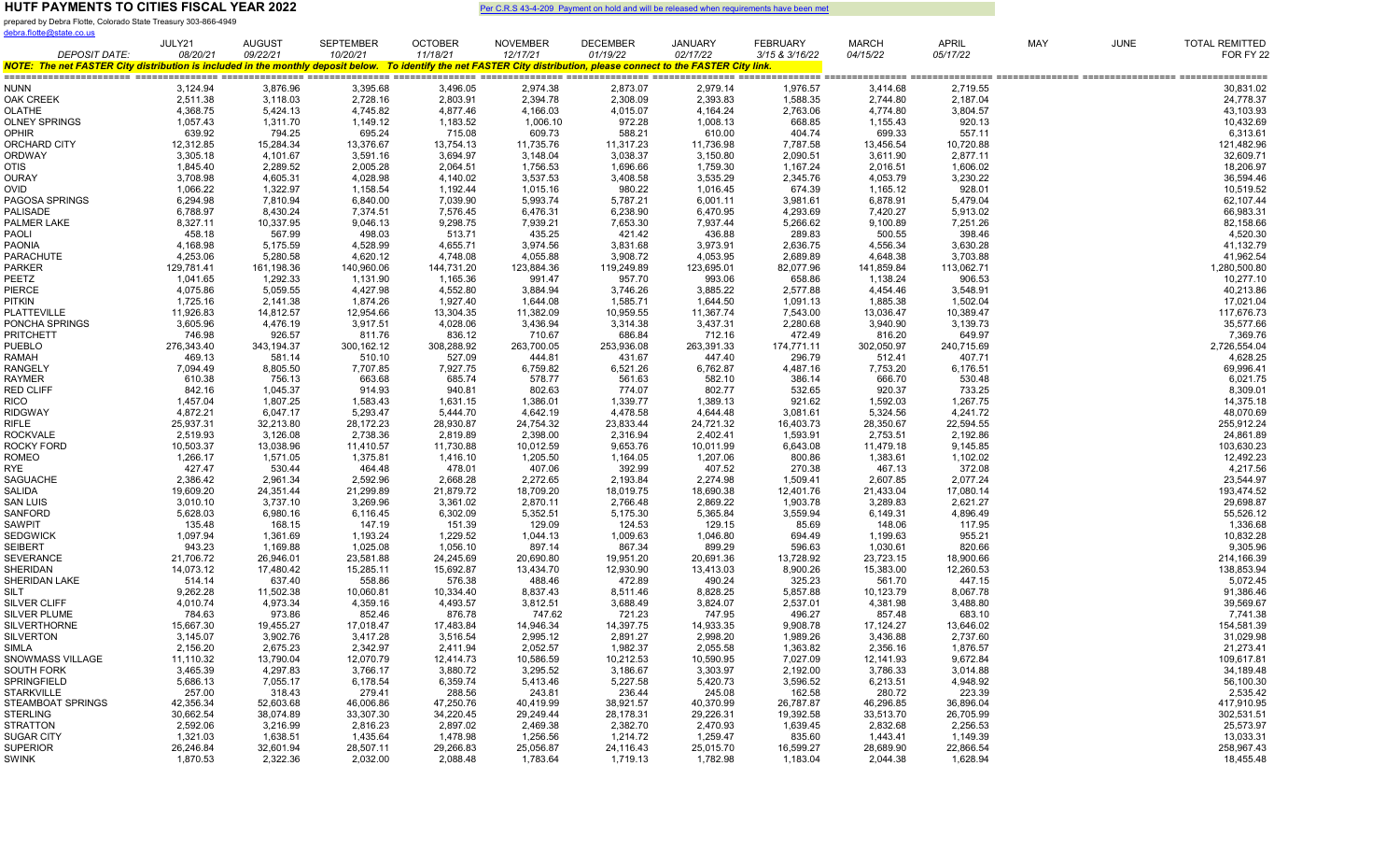prepared by Debra Flotte, Colorado State Treasury 303-866-4949 debra.flotte@state.co.us

|                                                                                                                                                                                                | JULY21               | AUGUST                 | <b>SEPTEMBER</b>     | <b>OCTOBER</b>         | <b>NOVEMBER</b>      | DECEMBER               | <b>JANUARY</b>         | <b>FEBRUARY</b>        | <b>MARCH</b>           | APRIL               | MAY | <b>JUNE</b> | <b>TOTAL REMITTED</b>    |
|------------------------------------------------------------------------------------------------------------------------------------------------------------------------------------------------|----------------------|------------------------|----------------------|------------------------|----------------------|------------------------|------------------------|------------------------|------------------------|---------------------|-----|-------------|--------------------------|
| <b>DEPOSIT DATE:</b><br>NOTE: The net FASTER City distribution is included in the monthly deposit below. To identify the net FASTER City distribution, please connect to the FASTER City link. | 08/20/21             | 09/22/21               | 10/20/21             | 11/18/21               | 12/17/21             | 01/19/22               | 02/17/22               | 3/15 & 3/16/22         | 04/15/22               | 05/17/22            |     |             | FOR FY 22                |
|                                                                                                                                                                                                |                      |                        |                      |                        |                      |                        |                        |                        |                        |                     |     |             |                          |
| NUNN                                                                                                                                                                                           | 3,124.94             | 3,876.96               | 3,395.68             | 3,496.05               | 2,974.38             | 2,873.07               | 2,979.14               | 1,976.57               | 3,414.68               | 2,719.55            |     |             | 30,831.02                |
| OAK CREEK                                                                                                                                                                                      | 2,511.38             | 3,118.03               | 2,728.16             | 2,803.91               | 2,394.78             | 2,308.09               | 2,393.83               | 1,588.35               | 2,744.80               | 2,187.04            |     |             | 24,778.37                |
| OLATHE                                                                                                                                                                                         | 4,368.75             | 5,424.13               | 4,745.82             | 4,877.46               | 4,166.03             | 4,015.07               | 4,164.24               | 2,763.06               | 4,774.80               | 3,804.57            |     |             | 43,103.93                |
| OLNEY SPRINGS                                                                                                                                                                                  | 1,057.43             | 1,311.70               | 1,149.12             | 1,183.52               | 1,006.10             | 972.28                 | 1,008.13               | 668.85                 | 1,155.43               | 920.13              |     |             | 10,432.69                |
| OPHIR                                                                                                                                                                                          | 639.92               | 794.25                 | 695.24               | 715.08                 | 609.73               | 588.21                 | 610.00                 | 404.74                 | 699.33                 | 557.11              |     |             | 6,313.61                 |
| ORCHARD CITY                                                                                                                                                                                   | 12,312.85            | 15,284.34              | 13,376.67            | 13,754.13              | 11,735.76            | 11,317.23              | 11,736.98              | 7,787.58               | 13,456.54              | 10,720.88           |     |             | 121,482.96               |
| ORDWAY                                                                                                                                                                                         | 3,305.18             | 4,101.67               | 3,591.16             | 3,694.97               | 3,148.04             | 3,038.37               | 3,150.80               | 2,090.51               | 3,611.90               | 2,877.11            |     |             | 32,609.71                |
| OTIS                                                                                                                                                                                           | 1,845.40             | 2,289.52               | 2,005.28             | 2,064.51               | 1,756.53             | 1,696.66               | 1,759.30               | 1,167.24               | 2,016.51               | 1,606.02            |     |             | 18,206.97                |
| OURAY                                                                                                                                                                                          | 3,708.98             | 4,605.31               | 4,028.98             | 4,140.02               | 3,537.53             | 3,408.58               | 3,535.29               | 2,345.76               | 4,053.79               | 3,230.22            |     |             | 36,594.46                |
| ovid<br>PAGOSA SPRINGS                                                                                                                                                                         | 1,066.22<br>6,294.98 | 1,322.97<br>7,810.94   | 1,158.54<br>6,840.00 | 1,192.44<br>7,039.90   | 1,015.16<br>5,993.74 | 980.22<br>5,787.21     | 1,016.45<br>6,001.11   | 674.39<br>3,981.61     | 1,165.12<br>6,878.91   | 928.01<br>5,479.04  |     |             | 10,519.52<br>62,107.44   |
| <b>PALISADE</b>                                                                                                                                                                                | 6,788.97             | 8,430.24               | 7,374.51             | 7,576.45               | 6,476.31             | 6,238.90               | 6,470.95               | 4,293.69               | 7,420.27               | 5,913.02            |     |             | 66,983.31                |
| PALMER LAKE                                                                                                                                                                                    | 8,327.11             | 10,337.95              | 9,046.13             | 9,298.75               | 7,939.21             | 7,653.30               | 7,937.44               | 5,266.62               | 9,100.89               | 7,251.26            |     |             | 82,158.66                |
| PAOLI                                                                                                                                                                                          | 458.18               | 567.99                 | 498.03               | 513.71                 | 435.25               | 421.42                 | 436.88                 | 289.83                 | 500.55                 | 398.46              |     |             | 4,520.30                 |
| PAONIA                                                                                                                                                                                         | 4,168.98             | 5,175.59               | 4,528.99             | 4,655.71               | 3,974.56             | 3,831.68               | 3,973.91               | 2,636.75               | 4,556.34               | 3,630.28            |     |             | 41,132.79                |
| PARACHUTE                                                                                                                                                                                      | 4.253.06             | 5,280.58               | 4.620.12             | 4.748.08               | 4.055.88             | 3.908.72               | 4.053.95               | 2,689.89               | 4.648.38               | 3,703.88            |     |             | 41,962.54                |
| <b>PARKER</b>                                                                                                                                                                                  | 129,781.41           | 161,198.36             | 140,960.06           | 144,731.20             | 123,884.36           | 119,249.89             | 123,695.01             | 82,077.96              | 141,859.84             | 113,062.71          |     |             | 1,280,500.80             |
| PEETZ                                                                                                                                                                                          | 1,041.65             | 1,292.33               | 1,131.90             | 1,165.36               | 991.47               | 957.70                 | 993.06                 | 658.86                 | 1,138.24               | 906.53              |     |             | 10,277.10                |
| PIERCE                                                                                                                                                                                         | 4,075.86             | 5,059.55               | 4,427.98             | 4,552.80               | 3,884.94             | 3,746.26               | 3,885.22               | 2,577.88               | 4,454.46               | 3,548.91            |     |             | 40,213.86                |
| PITKIN                                                                                                                                                                                         | 1,725.16             | 2,141.38               | 1,874.26             | 1,927.40               | 1,644.08             | 1,585.71               | 1,644.50               | 1,091.13               | 1,885.38               | 1,502.04            |     |             | 17,021.04                |
| PLATTEVILLE                                                                                                                                                                                    | 11,926.83            | 14,812.57              | 12,954.66            | 13,304.35              | 11,382.09            | 10.959.55              | 11,367.74              | 7,543.00               | 13.036.47              | 10,389.47           |     |             | 117,676.73               |
| PONCHA SPRINGS                                                                                                                                                                                 | 3,605.96             | 4,476.19               | 3,917.51             | 4,028.06               | 3,436.94             | 3,314.38               | 3,437.31               | 2,280.68               | 3,940.90               | 3,139.73            |     |             | 35,577.66                |
| PRITCHETT                                                                                                                                                                                      | 746.98               | 926.57                 | 811.76               | 836.12                 | 710.67               | 686.84                 | 712.16                 | 472.49                 | 816.20                 | 649.97              |     |             | 7,369.76                 |
| PUEBLO                                                                                                                                                                                         | 276,343.40           | 343,194.37             | 300,162.12           | 308,288.92             | 263,700.05           | 253,936.08             | 263,391.33             | 174,771.11             | 302,050.97             | 240,715.69          |     |             | 2,726,554.04             |
| RAMAH                                                                                                                                                                                          | 469.13               | 581.14                 | 510.10               | 527.09                 | 444.81               | 431.67                 | 447.40                 | 296.79                 | 512.41                 | 407.71              |     |             | 4,628.25                 |
| RANGELY<br>RAYMER                                                                                                                                                                              | 7,094.49<br>610.38   | 8,805.50               | 7,707.85<br>663.68   | 7,927.75               | 6,759.82<br>578.77   | 6,521.26               | 6,762.87               | 4,487.16<br>386.14     | 7,753.20               | 6,176.51<br>530.48  |     |             | 69,996.41                |
| <b>RED CLIFF</b>                                                                                                                                                                               | 842.16               | 756.13<br>1,045.37     | 914.93               | 685.74<br>940.81       | 802.63               | 561.63<br>774.07       | 582.10<br>802.77       | 532.65                 | 666.70<br>920.37       | 733.25              |     |             | 6,021.75<br>8,309.01     |
| RICO                                                                                                                                                                                           | 1,457.04             | 1,807.25               | 1,583.43             | 1,631.15               | 1,386.01             | 1,339.77               | 1,389.13               | 921.62                 | 1,592.03               | 1,267.75            |     |             | 14,375.18                |
| RIDGWAY                                                                                                                                                                                        | 4,872.21             | 6,047.17               | 5,293.47             | 5,444.70               | 4,642.19             | 4,478.58               | 4,644.48               | 3,081.61               | 5,324.56               | 4,241.72            |     |             | 48,070.69                |
| RIFLE                                                                                                                                                                                          | 25,937.31            | 32,213.80              | 28,172.23            | 28,930.87              | 24,754.32            | 23,833.44              | 24,721.32              | 16,403.73              | 28,350.67              | 22,594.55           |     |             | 255,912.24               |
| ROCKVALE                                                                                                                                                                                       | 2,519.93             | 3,126.08               | 2,738.36             | 2,819.89               | 2,398.00             | 2,316.94               | 2,402.41               | 1,593.91               | 2,753.51               | 2,192.86            |     |             | 24,861.89                |
| ROCKY FORD                                                                                                                                                                                     | 10,503.37            | 13,038.96              | 11,410.57            | 11,730.88              | 10,012.59            | 9,653.76               | 10,011.99              | 6,643.08               | 11,479.18              | 9,145.85            |     |             | 103,630.23               |
| ROMEO                                                                                                                                                                                          | 1,266.17             | 1,571.05               | 1,375.81             | 1,416.10               | 1,205.50             | 1,164.05               | 1,207.06               | 800.86                 | 1,383.61               | 1,102.02            |     |             | 12,492.23                |
| RYE                                                                                                                                                                                            | 427.47               | 530.44                 | 464.48               | 478.01                 | 407.06               | 392.99                 | 407.52                 | 270.38                 | 467.13                 | 372.08              |     |             | 4,217.56                 |
| SAGUACHE                                                                                                                                                                                       | 2,386.42             | 2,961.34               | 2,592.96             | 2,668.28               | 2,272.65             | 2,193.84               | 2,274.98               | 1,509.41               | 2,607.85               | 2,077.24            |     |             | 23,544.97                |
| SALIDA                                                                                                                                                                                         | 19,609.20            | 24,351.44              | 21,299.89            | 21,879.72              | 18,709.20            | 18,019.75              | 18,690.38              | 12,401.76              | 21,433.04              | 17,080.14           |     |             | 193,474.52               |
| <b>SAN LUIS</b>                                                                                                                                                                                | 3,010.10             | 3,737.10               | 3,269.96             | 3,361.02               | 2,870.11             | 2,766.48               | 2,869.22               | 1,903.78               | 3,289.83               | 2,621.27            |     |             | 29,698.87                |
| SANFORD                                                                                                                                                                                        | 5,628.03             | 6,980.16               | 6,116.45             | 6,302.09               | 5,352.51             | 5,175.30               | 5,365.84               | 3,559.94               | 6,149.31               | 4,896.49            |     |             | 55,526.12                |
| SAWPIT                                                                                                                                                                                         | 135.48<br>1,097.94   | 168.15                 | 147.19               | 151.39                 | 129.09               | 124.53                 | 129.15                 | 85.69<br>694.49        | 148.06                 | 117.95              |     |             | 1,336.68<br>10,832.28    |
| SEDGWICK<br>SEIBERT                                                                                                                                                                            | 943.23               | 1,361.69<br>1,169.88   | 1,193.24<br>1,025.08 | 1,229.52<br>1,056.10   | 1,044.13<br>897.14   | 1,009.63<br>867.34     | 1,046.80<br>899.29     | 596.63                 | 1,199.63<br>1,030.61   | 955.21<br>820.66    |     |             | 9,305.96                 |
| SEVERANCE                                                                                                                                                                                      | 21,706.72            | 26,946.01              | 23,581.88            | 24,245.69              | 20,690.80            | 19,951.20              | 20,691.36              | 13,728.92              | 23,723.15              | 18,900.66           |     |             | 214,166.39               |
| SHERIDAN                                                                                                                                                                                       | 14,073.12            | 17,480.42              | 15,285.11            | 15,692.87              | 13,434.70            | 12,930.90              | 13,413.03              | 8,900.26               | 15,383.00              | 12,260.53           |     |             | 138,853.94               |
| SHERIDAN LAKE                                                                                                                                                                                  | 514.14               | 637.40                 | 558.86               | 576.38                 | 488.46               | 472.89                 | 490.24                 | 325.23                 | 561.70                 | 447.15              |     |             | 5,072.45                 |
| SILT                                                                                                                                                                                           | 9,262.28             | 11,502.38              | 10,060.81            | 10,334.40              | 8,837.43             | 8,511.46               | 8,828.25               | 5,857.88               | 10,123.79              | 8,067.78            |     |             | 91,386.46                |
| SILVER CLIFF                                                                                                                                                                                   | 4,010.74             | 4,973.34               | 4,359.16             | 4,493.57               | 3,812.51             | 3,688.49               | 3,824.07               | 2,537.01               | 4,381.98               | 3,488.80            |     |             | 39,569.67                |
| SILVER PLUME                                                                                                                                                                                   | 784.63               | 973.86                 | 852.46               | 876.78                 | 747.62               | 721.23                 | 747.95                 | 496.27                 | 857.48                 | 683.10              |     |             | 7,741.38                 |
| SILVERTHORNE                                                                                                                                                                                   | 15,667.30            | 19,455.27              | 17,018.47            | 17,483.84              | 14,946.34            | 14,397.75              | 14,933.35              | 9,908.78               | 17,124.27              | 13,646.02           |     |             | 154,581.39               |
| SILVERTON                                                                                                                                                                                      | 3,145.07             | 3,902.76               | 3.417.28             | 3.516.54               | 2,995.12             | 2.891.27               | 2,998.20               | 1,989.26               | 3.436.88               | 2.737.60            |     |             | 31,029.98                |
| SIMLA                                                                                                                                                                                          | 2,156.20             | 2,675.23               | 2,342.97             | 2,411.94               | 2,052.57             | 1,982.37               | 2,055.58               | 1,363.82               | 2,356.16               | 1,876.57            |     |             | 21,273.41                |
| SNOWMASS VILLAGE                                                                                                                                                                               | 11,110.32            | 13,790.04              | 12,070.79            | 12,414.73              | 10,586.59            | 10.212.53              | 10,590.95              | 7,027.09               | 12.141.93              | 9,672.84            |     |             | 109,617.81               |
| SOUTH FORK                                                                                                                                                                                     | 3,465.39             | 4,297.83               | 3,766.17             | 3,880.72               | 3,295.52             | 3,186.67               | 3,303.97               | 2,192.00               | 3,786.33               | 3,014.88            |     |             | 34,189.48                |
| SPRINGFIELD                                                                                                                                                                                    | 5,686.13             | 7,055.17               | 6,178.54             | 6,359.74               | 5,413.46             | 5,227.58               | 5,420.73               | 3,596.52               | 6,213.51               | 4,948.92            |     |             | 56,100.30                |
| STARKVILLE<br>STEAMBOAT SPRINGS                                                                                                                                                                | 257.00<br>42,356.34  | 318.43                 | 279.41<br>46,006.86  | 288.56                 | 243.81<br>40,419.99  | 236.44                 | 245.08                 | 162.58                 | 280.72                 | 223.39<br>36,896.04 |     |             | 2,535.42                 |
| STERLING                                                                                                                                                                                       | 30,662.54            | 52,603.68<br>38,074.89 | 33,307.30            | 47,250.76<br>34,220.45 | 29,249.44            | 38,921.57<br>28,178.31 | 40,370.99<br>29,226.31 | 26,787.87<br>19,392.58 | 46,296.85<br>33,513.70 | 26,705.99           |     |             | 417,910.95<br>302,531.51 |
| STRATTON                                                                                                                                                                                       | 2,592.06             | 3,216.99               | 2,816.23             | 2,897.02               | 2,469.38             | 2,382.70               | 2,470.93               | 1,639.45               | 2,832.68               | 2,256.53            |     |             | 25,573.97                |
| SUGAR CITY                                                                                                                                                                                     | 1,321.03             | 1,638.51               | 1,435.64             | 1,478.98               | 1,256.56             | 1,214.72               | 1,259.47               | 835.60                 | 1,443.41               | 1,149.39            |     |             | 13,033.31                |
| SUPERIOR                                                                                                                                                                                       | 26,246.84            | 32,601.94              | 28,507.11            | 29,266.83              | 25,056.87            | 24,116.43              | 25,015.70              | 16,599.27              | 28,689.90              | 22,866.54           |     |             | 258,967.43               |
| SWINK                                                                                                                                                                                          | 1,870.53             | 2,322.36               | 2,032.00             | 2,088.48               | 1,783.64             | 1,719.13               | 1,782.98               | 1,183.04               | 2,044.38               | 1,628.94            |     |             | 18,455.48                |
|                                                                                                                                                                                                |                      |                        |                      |                        |                      |                        |                        |                        |                        |                     |     |             |                          |